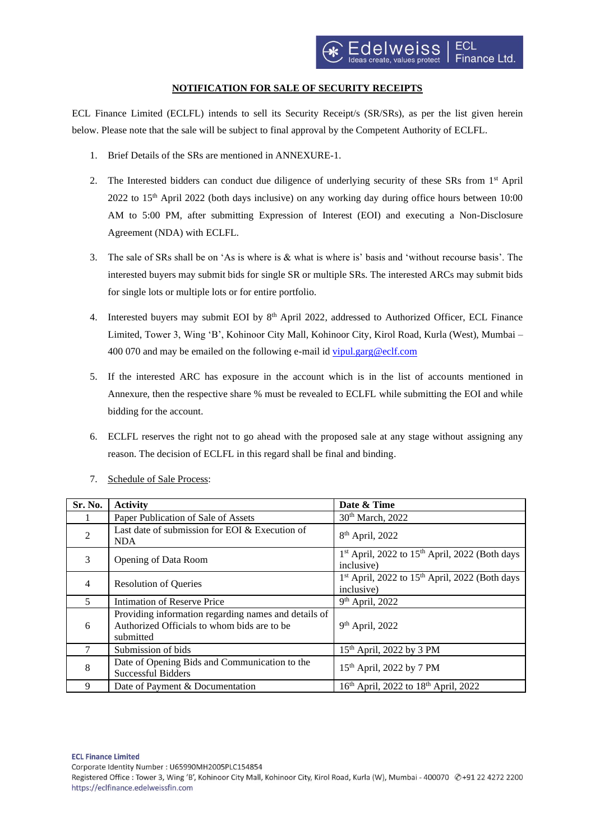## **NOTIFICATION FOR SALE OF SECURITY RECEIPTS**

ECL Finance Limited (ECLFL) intends to sell its Security Receipt/s (SR/SRs), as per the list given herein below. Please note that the sale will be subject to final approval by the Competent Authority of ECLFL.

- 1. Brief Details of the SRs are mentioned in ANNEXURE-1.
- 2. The Interested bidders can conduct due diligence of underlying security of these SRs from 1<sup>st</sup> April  $2022$  to 15<sup>th</sup> April 2022 (both days inclusive) on any working day during office hours between 10:00 AM to 5:00 PM, after submitting Expression of Interest (EOI) and executing a Non-Disclosure Agreement (NDA) with ECLFL.
- 3. The sale of SRs shall be on 'As is where is & what is where is' basis and 'without recourse basis'. The interested buyers may submit bids for single SR or multiple SRs. The interested ARCs may submit bids for single lots or multiple lots or for entire portfolio.
- 4. Interested buyers may submit EOI by  $8<sup>th</sup>$  April 2022, addressed to Authorized Officer, ECL Finance Limited, Tower 3, Wing 'B', Kohinoor City Mall, Kohinoor City, Kirol Road, Kurla (West), Mumbai – 400 070 and may be emailed on the following e-mail id [vipul.garg@eclf.com](mailto:vipul.garg@eclf.com)
- 5. If the interested ARC has exposure in the account which is in the list of accounts mentioned in Annexure, then the respective share % must be revealed to ECLFL while submitting the EOI and while bidding for the account.
- 6. ECLFL reserves the right not to go ahead with the proposed sale at any stage without assigning any reason. The decision of ECLFL in this regard shall be final and binding.

| Sr. No.                 | <b>Activity</b>                                                                                                   | Date & Time                                                                          |
|-------------------------|-------------------------------------------------------------------------------------------------------------------|--------------------------------------------------------------------------------------|
|                         | Paper Publication of Sale of Assets                                                                               | 30 <sup>th</sup> March, 2022                                                         |
| $\mathfrak{D}$          | Last date of submission for EOI & Execution of<br><b>NDA</b>                                                      | 8 <sup>th</sup> April, 2022                                                          |
| 3                       | Opening of Data Room                                                                                              | 1 <sup>st</sup> April, 2022 to 15 <sup>th</sup> April, 2022 (Both days<br>inclusive) |
| 4                       | <b>Resolution of Queries</b>                                                                                      | 1 <sup>st</sup> April, 2022 to 15 <sup>th</sup> April, 2022 (Both days<br>inclusive) |
| $\overline{\mathbf{z}}$ | Intimation of Reserve Price                                                                                       | 9 <sup>th</sup> April, 2022                                                          |
| 6                       | Providing information regarding names and details of<br>Authorized Officials to whom bids are to be.<br>submitted | 9 <sup>th</sup> April, 2022                                                          |
|                         | Submission of bids                                                                                                | 15 <sup>th</sup> April, 2022 by 3 PM                                                 |
| 8                       | Date of Opening Bids and Communication to the<br><b>Successful Bidders</b>                                        | 15 <sup>th</sup> April, 2022 by 7 PM                                                 |
| 9                       | Date of Payment & Documentation                                                                                   | 16 <sup>th</sup> April, 2022 to 18 <sup>th</sup> April, 2022                         |

7. Schedule of Sale Process:

Registered Office : Tower 3, Wing 'B', Kohinoor City Mall, Kohinoor City, Kirol Road, Kurla (W), Mumbai - 400070 @+91 22 4272 2200 https://eclfinance.edelweissfin.com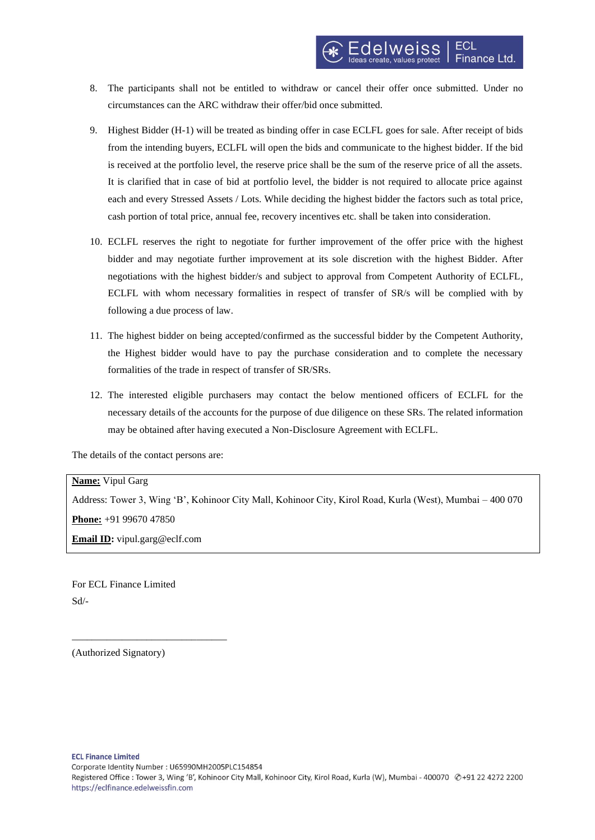- 8. The participants shall not be entitled to withdraw or cancel their offer once submitted. Under no circumstances can the ARC withdraw their offer/bid once submitted.
- 9. Highest Bidder (H-1) will be treated as binding offer in case ECLFL goes for sale. After receipt of bids from the intending buyers, ECLFL will open the bids and communicate to the highest bidder. If the bid is received at the portfolio level, the reserve price shall be the sum of the reserve price of all the assets. It is clarified that in case of bid at portfolio level, the bidder is not required to allocate price against each and every Stressed Assets / Lots. While deciding the highest bidder the factors such as total price, cash portion of total price, annual fee, recovery incentives etc. shall be taken into consideration.
- 10. ECLFL reserves the right to negotiate for further improvement of the offer price with the highest bidder and may negotiate further improvement at its sole discretion with the highest Bidder. After negotiations with the highest bidder/s and subject to approval from Competent Authority of ECLFL, ECLFL with whom necessary formalities in respect of transfer of SR/s will be complied with by following a due process of law.
- 11. The highest bidder on being accepted/confirmed as the successful bidder by the Competent Authority, the Highest bidder would have to pay the purchase consideration and to complete the necessary formalities of the trade in respect of transfer of SR/SRs.
- 12. The interested eligible purchasers may contact the below mentioned officers of ECLFL for the necessary details of the accounts for the purpose of due diligence on these SRs. The related information may be obtained after having executed a Non-Disclosure Agreement with ECLFL.

The details of the contact persons are:

**Name:** Vipul Garg

Address: Tower 3, Wing 'B', Kohinoor City Mall, Kohinoor City, Kirol Road, Kurla (West), Mumbai – 400 070 **Phone:** +91 99670 47850 **Email ID:** vipul.garg@eclf.com

For ECL Finance Limited Sd/-

\_\_\_\_\_\_\_\_\_\_\_\_\_\_\_\_\_\_\_\_\_\_\_\_\_\_\_\_\_\_\_

(Authorized Signatory)